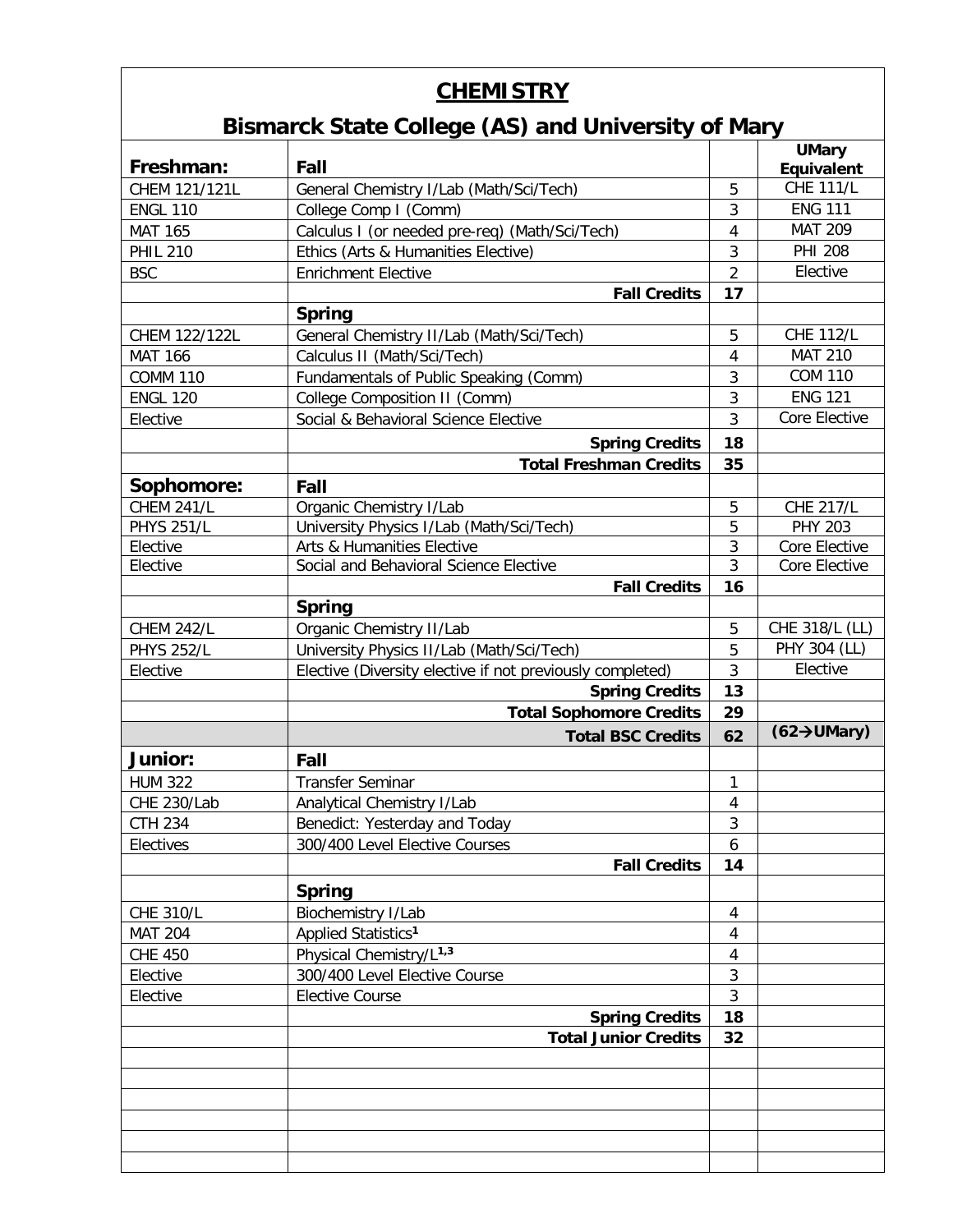## **CHEMISTRY**

## **Bismarck State College (AS) and University of Mary**

| Freshman:<br>Fall<br>Equivalent<br><b>CHE 111/L</b><br>CHEM 121/121L<br>5<br>General Chemistry I/Lab (Math/Sci/Tech)<br><b>ENG 111</b><br>3<br><b>ENGL 110</b><br>College Comp I (Comm)<br><b>MAT 209</b><br>Calculus I (or needed pre-req) (Math/Sci/Tech)<br><b>MAT 165</b><br>4<br><b>PHI 208</b><br>3<br><b>PHIL 210</b><br>Ethics (Arts & Humanities Elective)<br>$\overline{2}$<br>Elective<br><b>BSC</b><br><b>Enrichment Elective</b><br>17<br><b>Fall Credits</b><br><b>Spring</b><br><b>CHE 112/L</b><br>5<br>CHEM 122/122L<br>General Chemistry II/Lab (Math/Sci/Tech) |
|-----------------------------------------------------------------------------------------------------------------------------------------------------------------------------------------------------------------------------------------------------------------------------------------------------------------------------------------------------------------------------------------------------------------------------------------------------------------------------------------------------------------------------------------------------------------------------------|
|                                                                                                                                                                                                                                                                                                                                                                                                                                                                                                                                                                                   |
|                                                                                                                                                                                                                                                                                                                                                                                                                                                                                                                                                                                   |
|                                                                                                                                                                                                                                                                                                                                                                                                                                                                                                                                                                                   |
|                                                                                                                                                                                                                                                                                                                                                                                                                                                                                                                                                                                   |
|                                                                                                                                                                                                                                                                                                                                                                                                                                                                                                                                                                                   |
|                                                                                                                                                                                                                                                                                                                                                                                                                                                                                                                                                                                   |
|                                                                                                                                                                                                                                                                                                                                                                                                                                                                                                                                                                                   |
|                                                                                                                                                                                                                                                                                                                                                                                                                                                                                                                                                                                   |
| <b>MAT 210</b><br>Calculus II (Math/Sci/Tech)<br><b>MAT 166</b><br>$\overline{4}$                                                                                                                                                                                                                                                                                                                                                                                                                                                                                                 |
| <b>COM 110</b><br>3<br>Fundamentals of Public Speaking (Comm)<br><b>COMM 110</b>                                                                                                                                                                                                                                                                                                                                                                                                                                                                                                  |
| <b>ENG 121</b><br>College Composition II (Comm)<br>3<br><b>ENGL 120</b>                                                                                                                                                                                                                                                                                                                                                                                                                                                                                                           |
| Core Elective<br>3<br>Social & Behavioral Science Elective<br>Elective                                                                                                                                                                                                                                                                                                                                                                                                                                                                                                            |
| 18<br><b>Spring Credits</b>                                                                                                                                                                                                                                                                                                                                                                                                                                                                                                                                                       |
| <b>Total Freshman Credits</b><br>35                                                                                                                                                                                                                                                                                                                                                                                                                                                                                                                                               |
| Sophomore:<br>Fall                                                                                                                                                                                                                                                                                                                                                                                                                                                                                                                                                                |
| <b>CHEM 241/L</b><br>Organic Chemistry I/Lab<br><b>CHE 217/L</b><br>5                                                                                                                                                                                                                                                                                                                                                                                                                                                                                                             |
| <b>PHYS 251/L</b><br>5<br>University Physics I/Lab (Math/Sci/Tech)<br><b>PHY 203</b>                                                                                                                                                                                                                                                                                                                                                                                                                                                                                              |
| Arts & Humanities Elective<br>3<br>Core Elective<br>Elective                                                                                                                                                                                                                                                                                                                                                                                                                                                                                                                      |
| 3<br>Social and Behavioral Science Elective<br>Core Elective<br>Elective                                                                                                                                                                                                                                                                                                                                                                                                                                                                                                          |
| 16<br><b>Fall Credits</b>                                                                                                                                                                                                                                                                                                                                                                                                                                                                                                                                                         |
| <b>Spring</b>                                                                                                                                                                                                                                                                                                                                                                                                                                                                                                                                                                     |
| CHE 318/L (LL)<br>Organic Chemistry II/Lab<br>5<br><b>CHEM 242/L</b>                                                                                                                                                                                                                                                                                                                                                                                                                                                                                                              |
| PHY 304 (LL)<br><b>PHYS 252/L</b><br>5<br>University Physics II/Lab (Math/Sci/Tech)                                                                                                                                                                                                                                                                                                                                                                                                                                                                                               |
| 3<br>Elective<br>Elective<br>Elective (Diversity elective if not previously completed)                                                                                                                                                                                                                                                                                                                                                                                                                                                                                            |
| <b>Spring Credits</b><br>13                                                                                                                                                                                                                                                                                                                                                                                                                                                                                                                                                       |
| <b>Total Sophomore Credits</b><br>29                                                                                                                                                                                                                                                                                                                                                                                                                                                                                                                                              |
| $(62 \rightarrow \text{UMary})$<br>62<br><b>Total BSC Credits</b>                                                                                                                                                                                                                                                                                                                                                                                                                                                                                                                 |
| <b>Junior:</b><br>Fall                                                                                                                                                                                                                                                                                                                                                                                                                                                                                                                                                            |
| <b>HUM 322</b><br><b>Transfer Seminar</b><br>1                                                                                                                                                                                                                                                                                                                                                                                                                                                                                                                                    |
| CHE 230/Lab<br>Analytical Chemistry I/Lab<br>4                                                                                                                                                                                                                                                                                                                                                                                                                                                                                                                                    |
| 3<br><b>CTH 234</b><br>Benedict: Yesterday and Today                                                                                                                                                                                                                                                                                                                                                                                                                                                                                                                              |
| 300/400 Level Elective Courses<br>Electives<br>6                                                                                                                                                                                                                                                                                                                                                                                                                                                                                                                                  |
| <b>Fall Credits</b><br>14                                                                                                                                                                                                                                                                                                                                                                                                                                                                                                                                                         |
| <b>Spring</b>                                                                                                                                                                                                                                                                                                                                                                                                                                                                                                                                                                     |
| Biochemistry I/Lab<br><b>CHE 310/L</b><br>4                                                                                                                                                                                                                                                                                                                                                                                                                                                                                                                                       |
| Applied Statistics <sup>1</sup><br><b>MAT 204</b><br>4                                                                                                                                                                                                                                                                                                                                                                                                                                                                                                                            |
| Physical Chemistry/L <sup>1,3</sup><br><b>CHE 450</b><br>4                                                                                                                                                                                                                                                                                                                                                                                                                                                                                                                        |
| 300/400 Level Elective Course<br>3<br>Elective                                                                                                                                                                                                                                                                                                                                                                                                                                                                                                                                    |
| 3<br><b>Elective Course</b><br>Elective                                                                                                                                                                                                                                                                                                                                                                                                                                                                                                                                           |
| 18<br><b>Spring Credits</b>                                                                                                                                                                                                                                                                                                                                                                                                                                                                                                                                                       |
| <b>Total Junior Credits</b><br>32                                                                                                                                                                                                                                                                                                                                                                                                                                                                                                                                                 |
|                                                                                                                                                                                                                                                                                                                                                                                                                                                                                                                                                                                   |
|                                                                                                                                                                                                                                                                                                                                                                                                                                                                                                                                                                                   |
|                                                                                                                                                                                                                                                                                                                                                                                                                                                                                                                                                                                   |
|                                                                                                                                                                                                                                                                                                                                                                                                                                                                                                                                                                                   |
|                                                                                                                                                                                                                                                                                                                                                                                                                                                                                                                                                                                   |